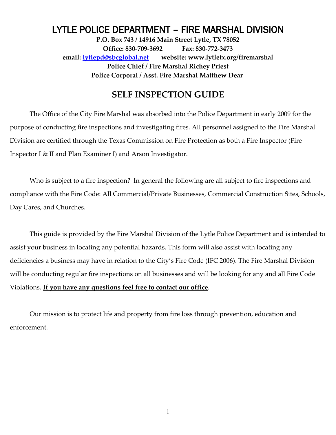# LYTLE POLICE DEPARTMENT – FIRE MARSHAL DIVISION

**P.O. Box 743 / 14916 Main Street Lytle, TX 78052 Office: 830-709-3692 Fax: 830-772-3473 email: [lytlepd@sbcglobal.net](mailto:lytlepd@sbcglobal.net) website: www.lytletx.org/firemarshal Police Chief / Fire Marshal Richey Priest Police Corporal / Asst. Fire Marshal Matthew Dear** 

## **SELF INSPECTION GUIDE**

The Office of the City Fire Marshal was absorbed into the Police Department in early 2009 for the purpose of conducting fire inspections and investigating fires. All personnel assigned to the Fire Marshal Division are certified through the Texas Commission on Fire Protection as both a Fire Inspector (Fire Inspector I & II and Plan Examiner I) and Arson Investigator.

Who is subject to a fire inspection? In general the following are all subject to fire inspections and compliance with the Fire Code: All Commercial/Private Businesses, Commercial Construction Sites, Schools, Day Cares, and Churches.

This guide is provided by the Fire Marshal Division of the Lytle Police Department and is intended to assist your business in locating any potential hazards. This form will also assist with locating any deficiencies a business may have in relation to the City's Fire Code (IFC 2006). The Fire Marshal Division will be conducting regular fire inspections on all businesses and will be looking for any and all Fire Code Violations. **If you have any questions feel free to contact our office**.

Our mission is to protect life and property from fire loss through prevention, education and enforcement.